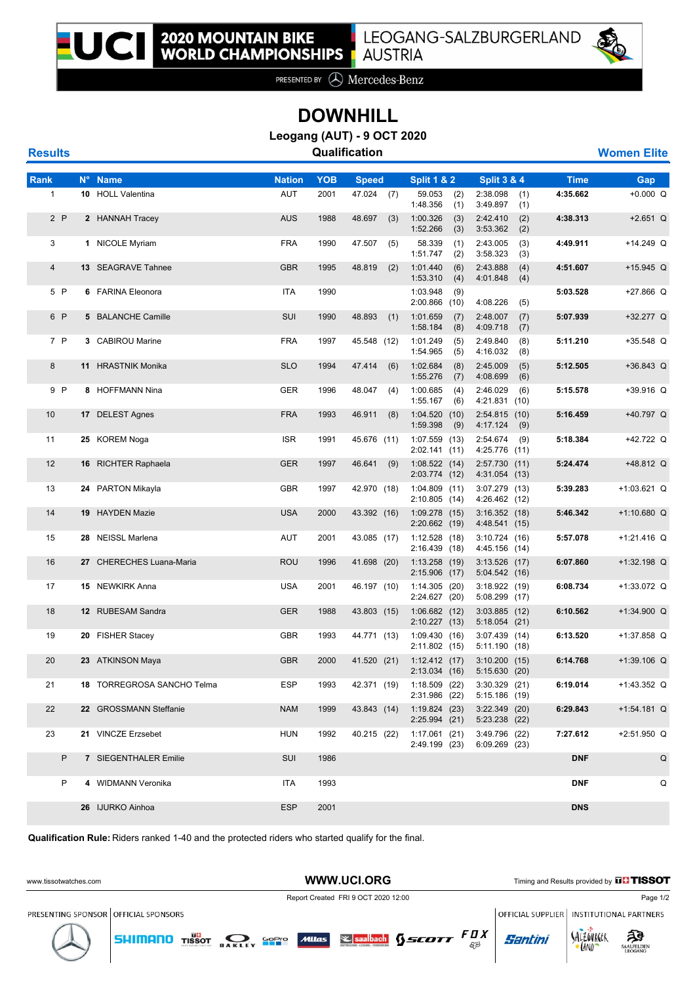

PRESENTED BY **A** Mercedes-Benz

## **DOWNHILL**

**Leogang (AUT) - 9 OCT 2020**

**Results CONFIDENTIAL CONSUMING CONSUMING CONSUMING CONSUMING CONSUMING CONSUMING CONSUMING CONSUMING CONSUMING CONSUMING CONSUMING CONSUMING CONSUMING CONSUMING CONSUMING CONSUMING CONSUMING CONSUMING CONSUMING CONSUMIN** 

| <b>Rank</b>      | N° Name                    | <b>Nation</b> | <b>YOB</b> | <b>Speed</b>  | <b>Split 1 &amp; 2</b>             | <b>Split 3 &amp; 4</b>              | <b>Time</b> | Gap           |
|------------------|----------------------------|---------------|------------|---------------|------------------------------------|-------------------------------------|-------------|---------------|
| $\mathbf{1}$     | 10 HOLL Valentina          | AUT           | 2001       | 47.024 (7)    | 59.053<br>(2)<br>1:48.356<br>(1)   | 2:38.098<br>(1)<br>3:49.897<br>(1)  | 4:35.662    | $+0.000 Q$    |
| 2P               | 2 HANNAH Tracey            | <b>AUS</b>    | 1988       | 48.697<br>(3) | 1:00.326<br>(3)<br>1:52.266<br>(3) | 2:42.410<br>(2)<br>3:53.362<br>(2)  | 4:38.313    | $+2.651$ Q    |
| 3                | 1 NICOLE Myriam            | <b>FRA</b>    | 1990       | 47.507<br>(5) | 58.339<br>(1)<br>1:51.747<br>(2)   | 2:43.005<br>(3)<br>3:58.323<br>(3)  | 4:49.911    | $+14.249$ Q   |
| $\overline{4}$   | <b>13 SEAGRAVE Tahnee</b>  | <b>GBR</b>    | 1995       | 48.819<br>(2) | 1:01.440<br>(6)<br>1:53.310<br>(4) | 2:43.888<br>(4)<br>4:01.848<br>(4)  | 4:51.607    | $+15.945$ Q   |
| 5 P              | 6 FARINA Eleonora          | ITA           | 1990       |               | 1:03.948<br>(9)<br>$2:00.866$ (10) | 4:08.226<br>(5)                     | 5:03.528    | +27.866 Q     |
| 6 P              | 5 BALANCHE Camille         | SUI           | 1990       | 48.893<br>(1) | 1:01.659<br>(7)<br>1:58.184<br>(8) | 2:48.007<br>(7)<br>4:09.718<br>(7)  | 5:07.939    | +32.277 Q     |
| 7 P              | 3 CABIROU Marine           | <b>FRA</b>    | 1997       | 45.548 (12)   | 1:01.249<br>(5)<br>1:54.965<br>(5) | 2:49.840<br>(8)<br>(8)<br>4:16.032  | 5:11.210    | $+35.548$ Q   |
| $\boldsymbol{8}$ | 11 HRASTNIK Monika         | <b>SLO</b>    | 1994       | 47.414<br>(6) | 1:02.684<br>(8)<br>1:55.276<br>(7) | 2:45.009<br>(5)<br>4:08.699<br>(6)  | 5:12.505    | $+36.843$ Q   |
| 9 P              | 8 HOFFMANN Nina            | GER           | 1996       | 48.047<br>(4) | 1:00.685<br>(4)<br>1:55.167<br>(6) | 2:46.029<br>(6)<br>4:21.831<br>(10) | 5:15.578    | $+39.916$ Q   |
| 10               | 17 DELEST Agnes            | <b>FRA</b>    | 1993       | 46.911<br>(8) | 1:04.520(10)<br>1:59.398<br>(9)    | 2:54.815<br>(10)<br>4:17.124<br>(9) | 5:16.459    | +40.797 Q     |
| 11               | 25 KOREM Noga              | <b>ISR</b>    | 1991       | 45.676 (11)   | $1:07.559$ (13)<br>2:02.141(11)    | 2:54.674<br>(9)<br>4:25.776<br>(11) | 5:18.384    | +42.722 Q     |
| 12               | 16 RICHTER Raphaela        | <b>GER</b>    | 1997       | 46.641<br>(9) | 1:08.522(14)<br>2:03.774 (12)      | 2:57.730<br>(11)<br>4:31.054 (13)   | 5:24.474    | +48.812 Q     |
| 13               | 24 PARTON Mikayla          | GBR           | 1997       | 42.970 (18)   | 1:04.809(11)<br>2:10.805(14)       | $3:07.279$ (13)<br>4:26.462 (12)    | 5:39.283    | $+1:03.621$ Q |
| 14               | 19 HAYDEN Mazie            | <b>USA</b>    | 2000       | 43.392 (16)   | $1:09.278$ (15)<br>$2:20.662$ (19) | 3:16.352(18)<br>4:48.541 (15)       | 5:46.342    | $+1:10.680$ Q |
| 15               | 28 NEISSL Marlena          | AUT           | 2001       | 43.085 (17)   | 1:12.528(18)<br>2:16.439 (18)      | 3:10.724(16)<br>4:45.156 (14)       | 5:57.078    | $+1:21.416$ Q |
| 16               | 27 CHERECHES Luana-Maria   | ROU           | 1996       | 41.698 (20)   | 1:13.258(19)<br>2:15.906 (17)      | $3:13.526$ (17)<br>5:04.542 (16)    | 6:07.860    | $+1:32.198$ Q |
| 17               | 15 NEWKIRK Anna            | USA           | 2001       | 46.197 (10)   | 1:14.305(20)<br>2:24.627 (20)      | 3:18.922(19)<br>$5:08.299$ (17)     | 6:08.734    | $+1:33.072$ Q |
| 18               | 12 RUBESAM Sandra          | <b>GER</b>    | 1988       | 43.803 (15)   | 1:06.682(12)<br>2:10.227(13)       | $3:03.885$ (12)<br>5:18.054(21)     | 6:10.562    | $+1:34.900$ Q |
| 19               | 20 FISHER Stacey           | GBR           | 1993       | 44.771 (13)   | 1:09.430(16)<br>2:11.802 (15)      | $3:07.439$ (14)<br>5:11.190(18)     | 6:13.520    | +1:37.858 Q   |
| 20               | 23 ATKINSON Maya           | <b>GBR</b>    | 2000       | 41.520 (21)   | 1:12.412(17)<br>2:13.034 (16)      | 3:10.200<br>(15)<br>5:15.630 (20)   | 6:14.768    | $+1:39.106$ Q |
| 21               | 18 TORREGROSA SANCHO Telma | <b>ESP</b>    | 1993       | 42.371 (19)   | $1:18.509$ (22)<br>2:31.986 (22)   | $3:30.329$ (21)<br>5:15.186(19)     | 6:19.014    | $+1:43.352$ Q |
| 22               | 22 GROSSMANN Steffanie     | NAM           | 1999       | 43.843 (14)   | 1:19.824(23)<br>2:25.994(21)       | 3:22.349 (20)<br>5:23.238 (22)      | 6:29.843    | $+1:54.181$ Q |
| 23               | 21 VINCZE Erzsebet         | <b>HUN</b>    | 1992       | 40.215 (22)   | 1:17.061(21)<br>2:49.199 (23)      | 3:49.796 (22)<br>6:09.269 (23)      | 7:27.612    | $+2:51.950$ Q |
| P                | 7 SIEGENTHALER Emilie      | SUI           | 1986       |               |                                    |                                     | <b>DNF</b>  | Q             |
| P                | 4 WIDMANN Veronika         | ITA           | 1993       |               |                                    |                                     | <b>DNF</b>  | Q             |
|                  | 26 IJURKO Ainhoa           | <b>ESP</b>    | 2001       |               |                                    |                                     | <b>DNS</b>  |               |

**Qualification Rule:** Riders ranked 1-40 and the protected riders who started qualify for the final.

**SHIMANO** TISSOT OAKLEY SOPIO Mitras **S** saalbach **SSCOTT**  $\begin{bmatrix} F \mathbf{0} X \\ \mathbb{R} \end{bmatrix}$ 

WWW.UCI.ORG Timing and Results provided by **THISSOT** 

Report Created FRI 9 OCT 2020 12:00 Page 1/2

PRESENTING SPONSOR OFFICIAL SPONSORS

OFFICIAL SUPPLIER | INSTITUTIONAL PARTNERS

**Santini** 

SALZOVREER (AND